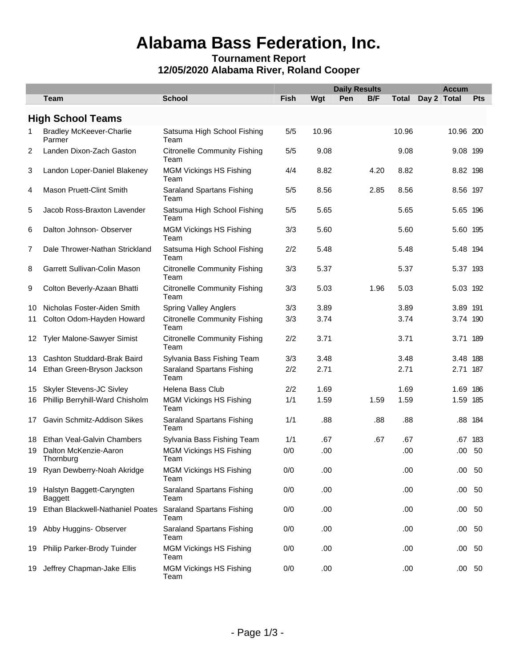## **Alabama Bass Federation, Inc.**

#### **Tournament Report 12/05/2020 Alabama River, Roland Cooper**

|    |                                           |                                             |      |       | <b>Daily Results</b> | <b>Accum</b> |             |           |
|----|-------------------------------------------|---------------------------------------------|------|-------|----------------------|--------------|-------------|-----------|
|    | <b>Team</b>                               | <b>School</b>                               | Fish | Wgt   | Pen<br>B/F           | Total        | Day 2 Total | Pts       |
|    | <b>High School Teams</b>                  |                                             |      |       |                      |              |             |           |
| 1  | <b>Bradley McKeever-Charlie</b><br>Parmer | Satsuma High School Fishing<br>Team         | 5/5  | 10.96 |                      | 10.96        | 10.96 200   |           |
| 2  | Landen Dixon-Zach Gaston                  | <b>Citronelle Community Fishing</b><br>Team | 5/5  | 9.08  |                      | 9.08         | 9.08 199    |           |
| 3  | Landon Loper-Daniel Blakeney              | <b>MGM Vickings HS Fishing</b><br>Team      | 4/4  | 8.82  | 4.20                 | 8.82         | 8.82 198    |           |
| 4  | <b>Mason Pruett-Clint Smith</b>           | Saraland Spartans Fishing<br>Team           | 5/5  | 8.56  | 2.85                 | 8.56         | 8.56 197    |           |
| 5  | Jacob Ross-Braxton Lavender               | Satsuma High School Fishing<br>Team         | 5/5  | 5.65  |                      | 5.65         | 5.65 196    |           |
| 6  | Dalton Johnson- Observer                  | <b>MGM Vickings HS Fishing</b><br>Team      | 3/3  | 5.60  |                      | 5.60         | 5.60 195    |           |
| 7  | Dale Thrower-Nathan Strickland            | Satsuma High School Fishing<br>Team         | 2/2  | 5.48  |                      | 5.48         | 5.48 194    |           |
| 8  | Garrett Sullivan-Colin Mason              | <b>Citronelle Community Fishing</b><br>Team | 3/3  | 5.37  |                      | 5.37         | 5.37 193    |           |
| 9  | Colton Beverly-Azaan Bhatti               | <b>Citronelle Community Fishing</b><br>Team | 3/3  | 5.03  | 1.96                 | 5.03         | 5.03 192    |           |
| 10 | Nicholas Foster-Aiden Smith               | <b>Spring Valley Anglers</b>                | 3/3  | 3.89  |                      | 3.89         | 3.89 191    |           |
| 11 | Colton Odom-Hayden Howard                 | <b>Citronelle Community Fishing</b><br>Team | 3/3  | 3.74  |                      | 3.74         | 3.74 190    |           |
| 12 | Tyler Malone-Sawyer Simist                | <b>Citronelle Community Fishing</b><br>Team | 2/2  | 3.71  |                      | 3.71         | 3.71 189    |           |
| 13 | Cashton Studdard-Brak Baird               | Sylvania Bass Fishing Team                  | 3/3  | 3.48  |                      | 3.48         | 3.48 188    |           |
| 14 | Ethan Green-Bryson Jackson                | Saraland Spartans Fishing<br>Team           | 2/2  | 2.71  |                      | 2.71         | 2.71 187    |           |
| 15 | <b>Skyler Stevens-JC Sivley</b>           | Helena Bass Club                            | 2/2  | 1.69  |                      | 1.69         | 1.69 186    |           |
| 16 | Phillip Berryhill-Ward Chisholm           | <b>MGM Vickings HS Fishing</b><br>Team      | 1/1  | 1.59  | 1.59                 | 1.59         | 1.59 185    |           |
| 17 | <b>Gavin Schmitz-Addison Sikes</b>        | Saraland Spartans Fishing<br>Team           | 1/1  | .88   | .88                  | .88          |             | .88 184   |
| 18 | Ethan Veal-Galvin Chambers                | Sylvania Bass Fishing Team                  | 1/1  | .67   | .67                  | .67          | .67         | 183       |
| 19 | Dalton McKenzie-Aaron<br>Thornburg        | <b>MGM Vickings HS Fishing</b><br>Team      | 0/0  | .00   |                      | .00          |             | .00 50    |
|    | 19 Ryan Dewberry-Noah Akridge             | <b>MGM Vickings HS Fishing</b><br>Team      | 0/0  | .00   |                      | .00          |             | .00 50    |
| 19 | Halstyn Baggett-Caryngten<br>Baggett      | Saraland Spartans Fishing<br>Team           | 0/0  | .00   |                      | .00          |             | $.00\ 50$ |
| 19 | Ethan Blackwell-Nathaniel Poates          | Saraland Spartans Fishing<br>Team           | 0/0  | .00   |                      | .00          |             | .00 50    |
| 19 | Abby Huggins- Observer                    | Saraland Spartans Fishing<br>Team           | 0/0  | .00   |                      | .00          |             | $.00\ 50$ |
| 19 | Philip Parker-Brody Tuinder               | <b>MGM Vickings HS Fishing</b><br>Team      | 0/0  | .00   |                      | .00          |             | $.00\ 50$ |
| 19 | Jeffrey Chapman-Jake Ellis                | <b>MGM Vickings HS Fishing</b><br>Team      | 0/0  | .00   |                      | .00          |             | $.00\ 50$ |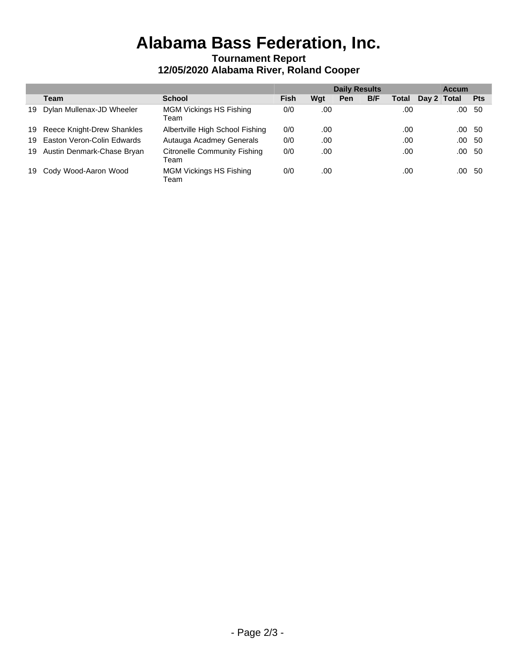## **Alabama Bass Federation, Inc.**

#### **Tournament Report 12/05/2020 Alabama River, Roland Cooper**

|                               |                                             | <b>Daily Results</b> |     |            | <b>Accum</b> |              |             |           |            |
|-------------------------------|---------------------------------------------|----------------------|-----|------------|--------------|--------------|-------------|-----------|------------|
| Team                          | <b>School</b>                               | Fish                 | Wgt | <b>Pen</b> | B/F          | <b>Total</b> | Day 2 Total |           | <b>Pts</b> |
| 19 Dylan Mullenax-JD Wheeler  | <b>MGM Vickings HS Fishing</b><br>Team      | 0/0                  | .00 |            |              | .00          |             | $.00\ 50$ |            |
| 19 Reece Knight-Drew Shankles | Albertville High School Fishing             | 0/0                  | .00 |            |              | .00          |             | .00, 50   |            |
| 19 Easton Veron-Colin Edwards | Autauga Acadmey Generals                    | 0/0                  | .00 |            |              | .00          |             | $.00\ 50$ |            |
| 19 Austin Denmark-Chase Bryan | <b>Citronelle Community Fishing</b><br>Team | 0/0                  | .00 |            |              | .00          |             | $.00\ 50$ |            |
| 19 Cody Wood-Aaron Wood       | <b>MGM Vickings HS Fishing</b><br>Team      | 0/0                  | .00 |            |              | .00          |             | $.00\ 50$ |            |